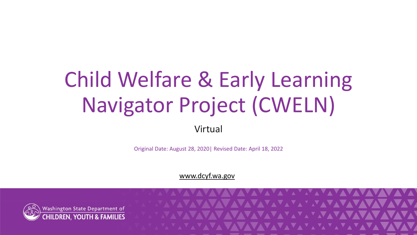# Child Welfare & Early Learning Navigator Project (CWELN)

Virtual

Original Date: August 28, 2020| Revised Date: April 18, 2022

[www.dcyf.wa.gov](http://www.dcyf.wa.gov/)

1

**NAVAVAVAVAVAVAVAVAVA** 

**NAVAVAVAVAVAVAVAV** 

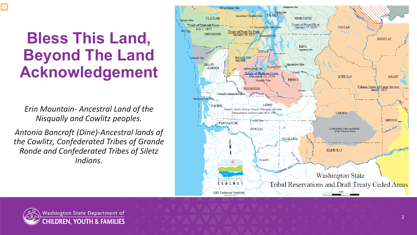#### **Bless This Land, Beyond The Land Acknowledgement**

*Erin Mountain - Ancestral Land of the Nisqually and Cowlitz peoples.*

*Antonia Bancroft (Dine) -Ancestral lands of the Cowlitz, Confederated Tribes of Grande Ronde and Confederated Tribes of Siletz Indians.* 



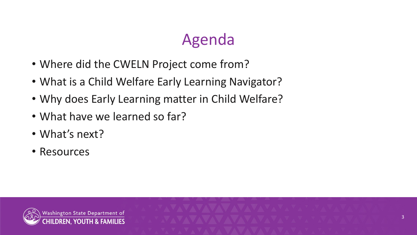# Agenda

- Where did the CWELN Project come from?
- What is a Child Welfare Early Learning Navigator?
- Why does Early Learning matter in Child Welfare?
- What have we learned so far?
- What's next?
- Resources

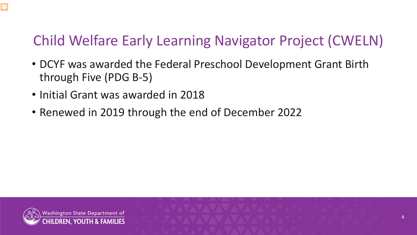#### Child Welfare Early Learning Navigator Project (CWELN)

- DCYF was awarded the Federal Preschool Development Grant Birth through Five (PDG B-5)
- Initial Grant was awarded in 2018
- Renewed in 2019 through the end of December 2022



Ę

4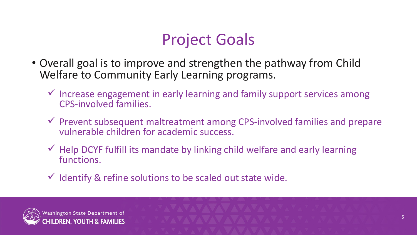# Project Goals

- Overall goal is to improve and strengthen the pathway from Child Welfare to Community Early Learning programs.
	- $\checkmark$  Increase engagement in early learning and family support services among CPS-involved families.
	- $\checkmark$  Prevent subsequent maltreatment among CPS-involved families and prepare vulnerable children for academic success.
	- $\checkmark$  Help DCYF fulfill its mandate by linking child welfare and early learning functions.
	- $\checkmark$  Identify & refine solutions to be scaled out state wide.

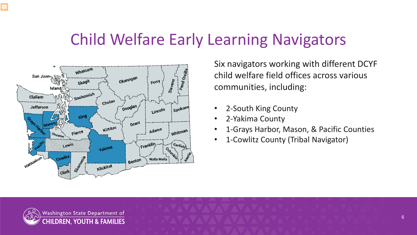#### Child Welfare Early Learning Navigators



Six navigators working with different DCYF child welfare field offices across various communities, including:

- 2-South King County
- 2-Yakima County
- 1-Grays Harbor, Mason, & Pacific Counties

6

• 1-Cowlitz County (Tribal Navigator)

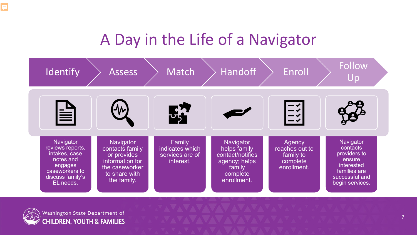### A Day in the Life of a Navigator

| Identify                                                                                                                  | <b>Assess</b>                                                                                                    | Match                                                     | <b>Handoff</b>                                                                                      | Enroll                                                           | Follow<br>Up                                                                                                       |
|---------------------------------------------------------------------------------------------------------------------------|------------------------------------------------------------------------------------------------------------------|-----------------------------------------------------------|-----------------------------------------------------------------------------------------------------|------------------------------------------------------------------|--------------------------------------------------------------------------------------------------------------------|
| 旨                                                                                                                         |                                                                                                                  | $\frac{1}{2}$                                             |                                                                                                     |                                                                  |                                                                                                                    |
| Navigator<br>reviews reports,<br>intakes, case<br>notes and<br>engages<br>caseworkers to<br>discuss family's<br>EL needs. | Navigator<br>contacts family<br>or provides<br>information for<br>the caseworker<br>to share with<br>the family. | Family<br>indicates which<br>services are of<br>interest. | Navigator<br>helps family<br>contact/notifies<br>agency; helps<br>family<br>complete<br>enrollment. | Agency<br>reaches out to<br>family to<br>complete<br>enrollment. | Navigator<br>contacts<br>providers to<br>ensure<br>interested<br>families are<br>successful and<br>begin services. |

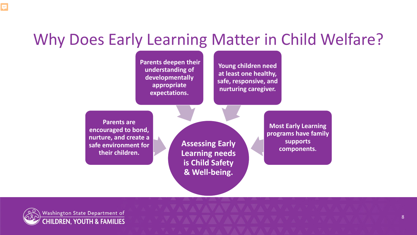#### Why Does Early Learning Matter in Child Welfare?

**Parents deepen their understanding of developmentally appropriate expectations.**

**Young children need at least one healthy, safe, responsive, and nurturing caregiver.**

**Parents are encouraged to bond, nurture, and create a safe environment for their children.**

**Assessing Early Learning needs is Child Safety & Well-being.**

**Most Early Learning programs have family supports components.**

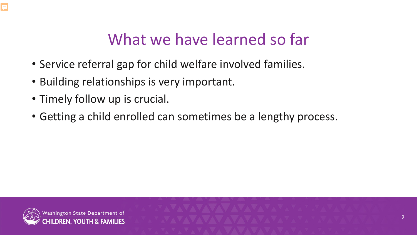# What we have learned so far

- Service referral gap for child welfare involved families.
- Building relationships is very important.
- Timely follow up is crucial.
- Getting a child enrolled can sometimes be a lengthy process.

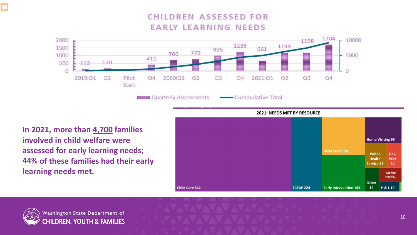#### **CHILDREN ASSESSED FOR EARLY LEARNING NEEDS**



**In 2021, more than 4,700 families involved in child welfare were assessed for early learning needs; 44% of these families had their early learning needs met.** 





F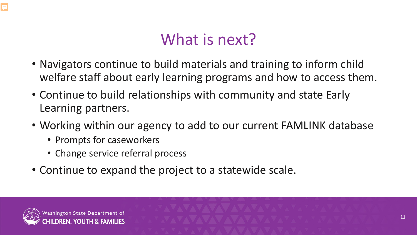### What is next?

- Navigators continue to build materials and training to inform child welfare staff about early learning programs and how to access them.
- Continue to build relationships with community and state Early Learning partners.
- Working within our agency to add to our current FAMLINK database
	- Prompts for caseworkers
	- Change service referral process
- Continue to expand the project to a statewide scale.